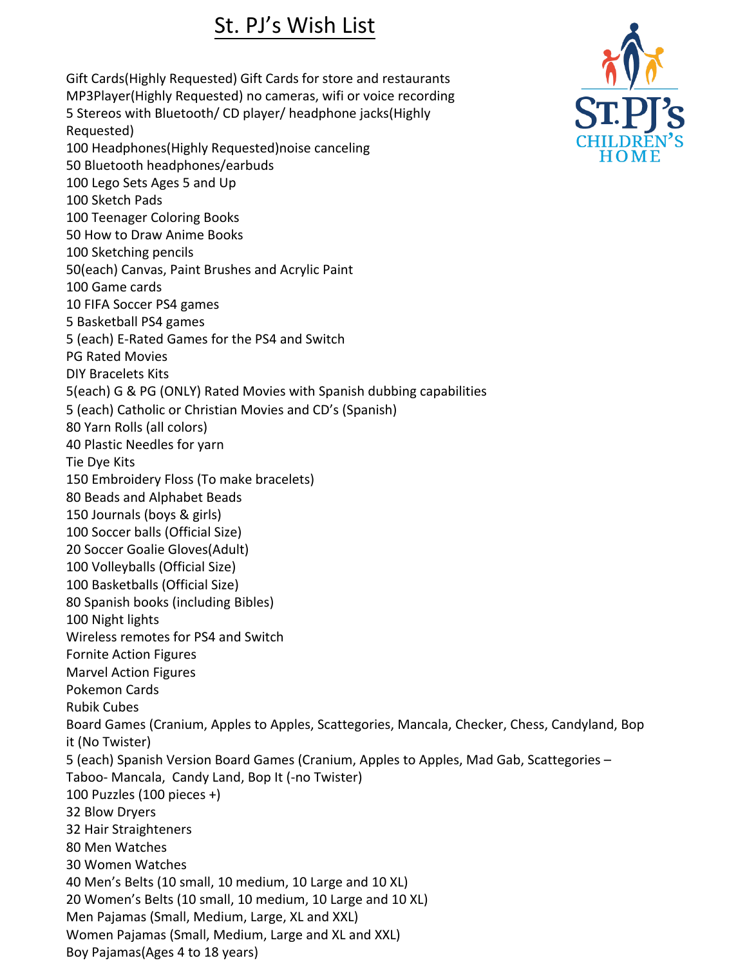## St. PJ's 2021 Christmas Wish List

Gift Cards (Highly Requested) Gift Cards for store and restaurants 50 Fujifilm Instax Mini 9 Polaroid Instant Cameras and Films MP3Players (Highly Requested) no cameras, wifi or voice recording 5 Stereos with Bluetooth/ CD player/ headphone jacks(Highly Requested) 100 Headphones(Highly Requested)noise canceling 50 Bluetooth headphones/earbuds 100 Lego Sets Ages 5 and Up 10 FIFA Soccer PS4 games 5 Basketball PS4 games 2 Nintendo Switch Consoles and controllers 2 PS4 Consoles and controllers 5 (each) E-Rated Games for the PS4 and Nintendo Switch PG Rated Movies 100 Sketch Pads 100 Teenager Coloring Books 50 How to Draw Anime Books 100 Sketching pencils 50(each) Canvas, Paint Brushes and Acrylic Paint 100 Game cards DIY Bracelets Kits 5(each) G & PG (ONLY) Rated Movies with Spanish dubbing capabilities 5 (each) Catholic or Christian Movies and CD's (Spanish) 80 Yarn Rolls (all colors) 40 Plastic Needles for yarn Tie Dye Kits 150 Embroidery Floss (To make bracelets) 80 Beads Kits 1 00 pieces+ and Alphabet Beads 150 Journals (boys & girls) 20 Soccer Goalie Gloves(Adult) 100 Volleyballs (Official Size) 100 Basketballs (Official Size) 80 Spanish books (including Bibles) 100 Night lights Wireless remote controls for PS4 and Nintendo Switch Fornite Action Figures Marvel Action Figures Pokemon Cards Rubik Cubes Board Games (Cranium, Apples to Apples, Scattegories, Mancala, Checker, Chess, Candyland, Bop it (No Twister) 10 (each) Spanish Version Board Games (Cranium, Apples to Apples, Mad Gab, Scattegories – Taboo- Mancala, Candy Land, Bop It (No Twister) 100 Puzzles (100 pieces +) 32 Blow Dryers 32 Hair Straighteners 80 Men Watches 30 Women Watches 40 Men's Belts (10 small, 10 medium, 10 Large and 10 XL) 20 Women's Belts (10 small, 10 medium, 10 Large and 10 XL) Men Pajamas sizes: Small, Medium, Large, XL and XXL Women Pajamas sizes: Small, Medium, Large and XL and XXL 100 Soccer Balls(Official Size